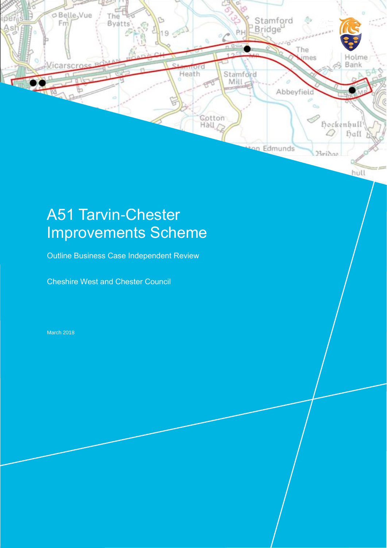

# A51 Tarvin-Chester Improvements Scheme

Outline Business Case Independent Review

Cheshire West and Chester Council

March 2018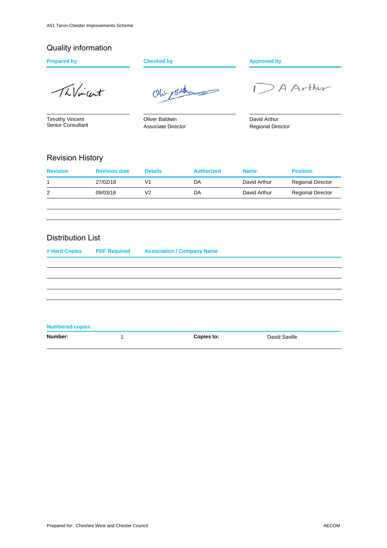### Quality information

ThVincent

Timothy Vincent Senior Consultant

Oliver Baldwin Associate Director

Ohi- 1Baldy

**Prepared by Checked by Checked by Approved by** 

DAArthur

David Arthur Regional Director

#### Revision History

| <b>Revision</b> | <b>Revision date</b> | <b>Details</b> | <b>Authorized</b> | <b>Name</b>  | <b>Position</b>          |
|-----------------|----------------------|----------------|-------------------|--------------|--------------------------|
|                 | 27/02/18             | V1             | DA                | David Arthur | <b>Regional Director</b> |
| 2               | 09/03/18             | V2             | DA                | David Arthur | <b>Regional Director</b> |
|                 |                      |                |                   |              |                          |

#### Distribution List

| # Hard Copies          | <b>PDF Required</b> | <b>Association / Company Name</b> |  |
|------------------------|---------------------|-----------------------------------|--|
|                        |                     |                                   |  |
|                        |                     |                                   |  |
|                        |                     |                                   |  |
|                        |                     |                                   |  |
|                        |                     |                                   |  |
|                        |                     |                                   |  |
| <b>Numbered copies</b> |                     |                                   |  |

**Number:** 1 1 **Copies to:** David Saville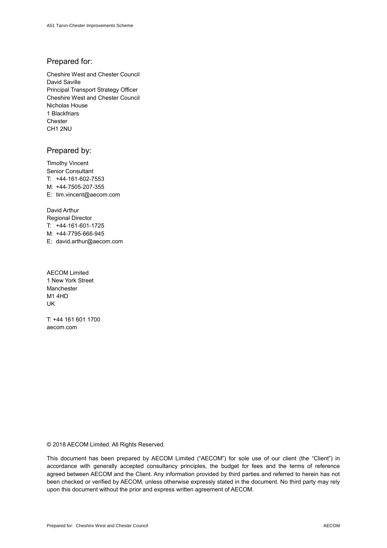#### Prepared for:

Cheshire West and Chester Council David Saville Principal Transport Strategy Officer Cheshire West and Chester Council Nicholas House 1 Blackfriars **Chester** CH1 2NU

#### Prepared by:

Timothy Vincent Senior Consultant T: +44-161-602-7553 M: +44-7505-207-355 E: tim.vincent@aecom.com

David Arthur Regional Director T: +44-161-601-1725 M: +44-7795-666-945 E: david.arthur@aecom.com

AECOM Limited 1 New York Street Manchester M1 4HD UK

T: +44 161 601 1700 aecom.com

© 2018 AECOM Limited. All Rights Reserved.

This document has been prepared by AECOM Limited ("AECOM") for sole use of our client (the "Client") in accordance with generally accepted consultancy principles, the budget for fees and the terms of reference agreed between AECOM and the Client. Any information provided by third parties and referred to herein has not been checked or verified by AECOM, unless otherwise expressly stated in the document. No third party may rely upon this document without the prior and express written agreement of AECOM.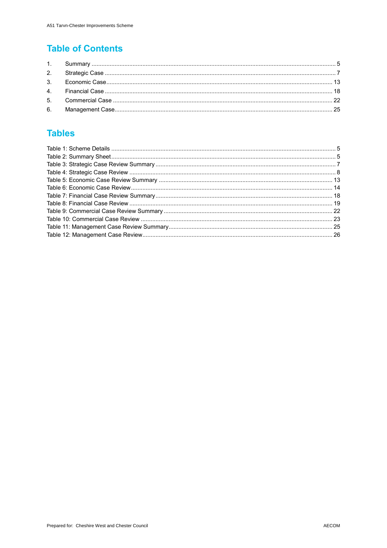### **Table of Contents**

### **Tables**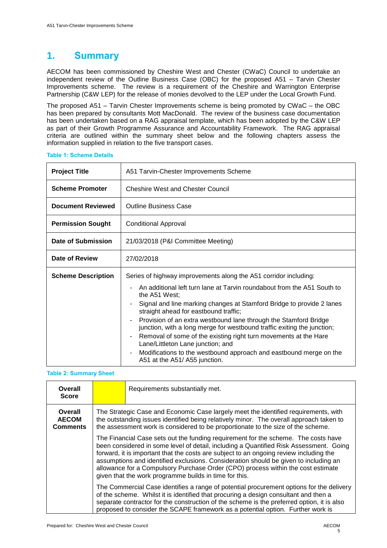### **1. Summary**

AECOM has been commissioned by Cheshire West and Chester (CWaC) Council to undertake an independent review of the Outline Business Case (OBC) for the proposed A51 – Tarvin Chester Improvements scheme. The review is a requirement of the Cheshire and Warrington Enterprise Partnership (C&W LEP) for the release of monies devolved to the LEP under the Local Growth Fund.

The proposed A51 – Tarvin Chester Improvements scheme is being promoted by CWaC – the OBC has been prepared by consultants Mott MacDonald. The review of the business case documentation has been undertaken based on a RAG appraisal template, which has been adopted by the C&W LEP as part of their Growth Programme Assurance and Accountability Framework. The RAG appraisal criteria are outlined within the summary sheet below and the following chapters assess the information supplied in relation to the five transport cases.

| <b>Project Title</b>      | A51 Tarvin-Chester Improvements Scheme                                                                                                                                                                                                                                                                                                                                                                                                                                                                                                                                                                                                                                                     |  |  |
|---------------------------|--------------------------------------------------------------------------------------------------------------------------------------------------------------------------------------------------------------------------------------------------------------------------------------------------------------------------------------------------------------------------------------------------------------------------------------------------------------------------------------------------------------------------------------------------------------------------------------------------------------------------------------------------------------------------------------------|--|--|
| <b>Scheme Promoter</b>    | <b>Cheshire West and Chester Council</b>                                                                                                                                                                                                                                                                                                                                                                                                                                                                                                                                                                                                                                                   |  |  |
| <b>Document Reviewed</b>  | <b>Outline Business Case</b>                                                                                                                                                                                                                                                                                                                                                                                                                                                                                                                                                                                                                                                               |  |  |
| <b>Permission Sought</b>  | <b>Conditional Approval</b>                                                                                                                                                                                                                                                                                                                                                                                                                                                                                                                                                                                                                                                                |  |  |
| Date of Submission        | 21/03/2018 (P&I Committee Meeting)                                                                                                                                                                                                                                                                                                                                                                                                                                                                                                                                                                                                                                                         |  |  |
| Date of Review            | 27/02/2018                                                                                                                                                                                                                                                                                                                                                                                                                                                                                                                                                                                                                                                                                 |  |  |
| <b>Scheme Description</b> | Series of highway improvements along the A51 corridor including:<br>An additional left turn lane at Tarvin roundabout from the A51 South to<br>the A51 West;<br>Signal and line marking changes at Stamford Bridge to provide 2 lanes<br>straight ahead for eastbound traffic;<br>Provision of an extra westbound lane through the Stamford Bridge<br>junction, with a long merge for westbound traffic exiting the junction;<br>Removal of some of the existing right turn movements at the Hare<br>$\blacksquare$<br>Lane/Littleton Lane junction; and<br>Modifications to the westbound approach and eastbound merge on the<br>$\overline{\phantom{a}}$<br>A51 at the A51/A55 junction. |  |  |

#### **Table 1: Scheme Details**

#### **Table 2: Summary Sheet**

| Overall<br><b>Score</b>                    |                                                                                                                                                                                                                                                                                                                                                                                                                                                                                                              | Requirements substantially met.                                                                                                                                                                                                                                                                                                                                   |  |
|--------------------------------------------|--------------------------------------------------------------------------------------------------------------------------------------------------------------------------------------------------------------------------------------------------------------------------------------------------------------------------------------------------------------------------------------------------------------------------------------------------------------------------------------------------------------|-------------------------------------------------------------------------------------------------------------------------------------------------------------------------------------------------------------------------------------------------------------------------------------------------------------------------------------------------------------------|--|
| Overall<br><b>AECOM</b><br><b>Comments</b> | The Strategic Case and Economic Case largely meet the identified requirements, with<br>the outstanding issues identified being relatively minor. The overall approach taken to<br>the assessment work is considered to be proportionate to the size of the scheme.                                                                                                                                                                                                                                           |                                                                                                                                                                                                                                                                                                                                                                   |  |
|                                            | The Financial Case sets out the funding requirement for the scheme. The costs have<br>been considered in some level of detail, including a Quantified Risk Assessment. Going<br>forward, it is important that the costs are subject to an ongoing review including the<br>assumptions and identified exclusions. Consideration should be given to including an<br>allowance for a Compulsory Purchase Order (CPO) process within the cost estimate<br>given that the work programme builds in time for this. |                                                                                                                                                                                                                                                                                                                                                                   |  |
|                                            |                                                                                                                                                                                                                                                                                                                                                                                                                                                                                                              | The Commercial Case identifies a range of potential procurement options for the delivery<br>of the scheme. Whilst it is identified that procuring a design consultant and then a<br>separate contractor for the construction of the scheme is the preferred option, it is also<br>proposed to consider the SCAPE framework as a potential option. Further work is |  |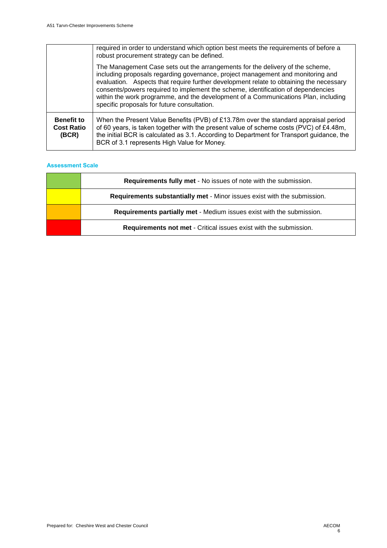|                                                 | required in order to understand which option best meets the requirements of before a<br>robust procurement strategy can be defined.                                                                                                                                                                                                                                                                                                                                                 |
|-------------------------------------------------|-------------------------------------------------------------------------------------------------------------------------------------------------------------------------------------------------------------------------------------------------------------------------------------------------------------------------------------------------------------------------------------------------------------------------------------------------------------------------------------|
|                                                 | The Management Case sets out the arrangements for the delivery of the scheme,<br>including proposals regarding governance, project management and monitoring and<br>evaluation. Aspects that require further development relate to obtaining the necessary<br>consents/powers required to implement the scheme, identification of dependencies<br>within the work programme, and the development of a Communications Plan, including<br>specific proposals for future consultation. |
| <b>Benefit to</b><br><b>Cost Ratio</b><br>(BCR) | When the Present Value Benefits (PVB) of £13.78m over the standard appraisal period<br>of 60 years, is taken together with the present value of scheme costs (PVC) of £4.48m,<br>the initial BCR is calculated as 3.1. According to Department for Transport guidance, the<br>BCR of 3.1 represents High Value for Money.                                                                                                                                                           |

| <b>Requirements fully met - No issues of note with the submission.</b>   |
|--------------------------------------------------------------------------|
| Requirements substantially met - Minor issues exist with the submission. |
| Requirements partially met - Medium issues exist with the submission.    |
| Requirements not met - Critical issues exist with the submission.        |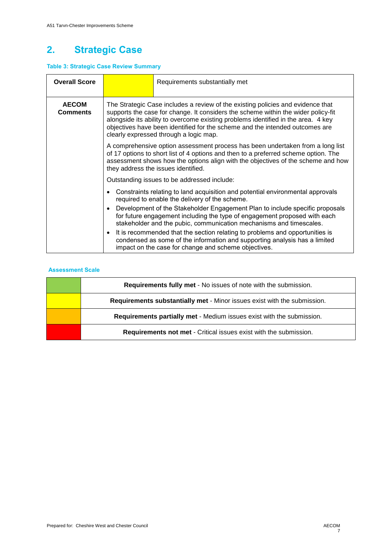## **2. Strategic Case**

#### **Table 3: Strategic Case Review Summary**

| <b>Overall Score</b>                                                                                                                                                                                                                                                                                                                                                   |                                                                                                                                                                                                                                                                                                                                                                                                                                                                                     | Requirements substantially met                                                                                                                                                                                                                                                                                                            |
|------------------------------------------------------------------------------------------------------------------------------------------------------------------------------------------------------------------------------------------------------------------------------------------------------------------------------------------------------------------------|-------------------------------------------------------------------------------------------------------------------------------------------------------------------------------------------------------------------------------------------------------------------------------------------------------------------------------------------------------------------------------------------------------------------------------------------------------------------------------------|-------------------------------------------------------------------------------------------------------------------------------------------------------------------------------------------------------------------------------------------------------------------------------------------------------------------------------------------|
| <b>AECOM</b><br>Comments<br>clearly expressed through a logic map.                                                                                                                                                                                                                                                                                                     |                                                                                                                                                                                                                                                                                                                                                                                                                                                                                     | The Strategic Case includes a review of the existing policies and evidence that<br>supports the case for change. It considers the scheme within the wider policy-fit<br>alongside its ability to overcome existing problems identified in the area. 4 key<br>objectives have been identified for the scheme and the intended outcomes are |
|                                                                                                                                                                                                                                                                                                                                                                        | A comprehensive option assessment process has been undertaken from a long list<br>of 17 options to short list of 4 options and then to a preferred scheme option. The<br>assessment shows how the options align with the objectives of the scheme and how<br>they address the issues identified.<br>Outstanding issues to be addressed include:<br>Constraints relating to land acquisition and potential environmental approvals<br>required to enable the delivery of the scheme. |                                                                                                                                                                                                                                                                                                                                           |
|                                                                                                                                                                                                                                                                                                                                                                        |                                                                                                                                                                                                                                                                                                                                                                                                                                                                                     |                                                                                                                                                                                                                                                                                                                                           |
|                                                                                                                                                                                                                                                                                                                                                                        |                                                                                                                                                                                                                                                                                                                                                                                                                                                                                     |                                                                                                                                                                                                                                                                                                                                           |
| for future engagement including the type of engagement proposed with each<br>stakeholder and the pubic, communication mechanisms and timescales.<br>It is recommended that the section relating to problems and opportunities is<br>condensed as some of the information and supporting analysis has a limited<br>impact on the case for change and scheme objectives. |                                                                                                                                                                                                                                                                                                                                                                                                                                                                                     | Development of the Stakeholder Engagement Plan to include specific proposals                                                                                                                                                                                                                                                              |
|                                                                                                                                                                                                                                                                                                                                                                        |                                                                                                                                                                                                                                                                                                                                                                                                                                                                                     |                                                                                                                                                                                                                                                                                                                                           |

| Requirements fully met - No issues of note with the submission.          |
|--------------------------------------------------------------------------|
| Requirements substantially met - Minor issues exist with the submission. |
| Requirements partially met - Medium issues exist with the submission.    |
| Requirements not met - Critical issues exist with the submission.        |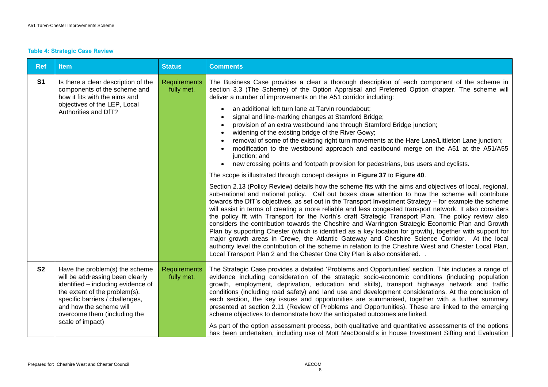#### **Table 4: Strategic Case Review**

| <b>Ref</b>     | <b>Item</b>                                                                                                                                                                                                                                                | <b>Status</b>                     | <b>Comments</b>                                                                                                                                                                                                                                                                                                                                                                                                                                                                                                                                                                                                                                                                                                                                                                                                                                                                                                                                                                                                                                                                                                                                                                                                                                                                                                                                                                                                                                                                                                                                                                                                                                                                                                                                                                                                                                                                                                                                            |
|----------------|------------------------------------------------------------------------------------------------------------------------------------------------------------------------------------------------------------------------------------------------------------|-----------------------------------|------------------------------------------------------------------------------------------------------------------------------------------------------------------------------------------------------------------------------------------------------------------------------------------------------------------------------------------------------------------------------------------------------------------------------------------------------------------------------------------------------------------------------------------------------------------------------------------------------------------------------------------------------------------------------------------------------------------------------------------------------------------------------------------------------------------------------------------------------------------------------------------------------------------------------------------------------------------------------------------------------------------------------------------------------------------------------------------------------------------------------------------------------------------------------------------------------------------------------------------------------------------------------------------------------------------------------------------------------------------------------------------------------------------------------------------------------------------------------------------------------------------------------------------------------------------------------------------------------------------------------------------------------------------------------------------------------------------------------------------------------------------------------------------------------------------------------------------------------------------------------------------------------------------------------------------------------------|
| S <sub>1</sub> | Is there a clear description of the<br>components of the scheme and<br>how it fits with the aims and<br>objectives of the LEP, Local<br>Authorities and DfT?                                                                                               | Requirements<br>fully met.        | The Business Case provides a clear a thorough description of each component of the scheme in<br>section 3.3 (The Scheme) of the Option Appraisal and Preferred Option chapter. The scheme will<br>deliver a number of improvements on the A51 corridor including:<br>an additional left turn lane at Tarvin roundabout;<br>signal and line-marking changes at Stamford Bridge;<br>provision of an extra westbound lane through Stamford Bridge junction;<br>widening of the existing bridge of the River Gowy;<br>removal of some of the existing right turn movements at the Hare Lane/Littleton Lane junction;<br>modification to the westbound approach and eastbound merge on the A51 at the A51/A55<br>junction; and<br>new crossing points and footpath provision for pedestrians, bus users and cyclists.<br>The scope is illustrated through concept designs in Figure 37 to Figure 40.<br>Section 2.13 (Policy Review) details how the scheme fits with the aims and objectives of local, regional,<br>sub-national and national policy. Call out boxes draw attention to how the scheme will contribute<br>towards the DfT's objectives, as set out in the Transport Investment Strategy – for example the scheme<br>will assist in terms of creating a more reliable and less congested transport network. It also considers<br>the policy fit with Transport for the North's draft Strategic Transport Plan. The policy review also<br>considers the contribution towards the Cheshire and Warrington Strategic Economic Plan and Growth<br>Plan by supporting Chester (which is identified as a key location for growth), together with support for<br>major growth areas in Crewe, the Atlantic Gateway and Cheshire Science Corridor. At the local<br>authority level the contribution of the scheme in relation to the Cheshire West and Chester Local Plan,<br>Local Transport Plan 2 and the Chester One City Plan is also considered. . |
| <b>S2</b>      | Have the problem(s) the scheme<br>will be addressing been clearly<br>identified - including evidence of<br>the extent of the problem(s),<br>specific barriers / challenges,<br>and how the scheme will<br>overcome them (including the<br>scale of impact) | <b>Requirements</b><br>fully met. | The Strategic Case provides a detailed 'Problems and Opportunities' section. This includes a range of<br>evidence including consideration of the strategic socio-economic conditions (including population<br>growth, employment, deprivation, education and skills), transport highways network and traffic<br>conditions (including road safety) and land use and development considerations. At the conclusion of<br>each section, the key issues and opportunities are summarised, together with a further summary<br>presented at section 2.11 (Review of Problems and Opportunities). These are linked to the emerging<br>scheme objectives to demonstrate how the anticipated outcomes are linked.<br>As part of the option assessment process, both qualitative and quantitative assessments of the options<br>has been undertaken, including use of Mott MacDonald's in house Investment Sifting and Evaluation                                                                                                                                                                                                                                                                                                                                                                                                                                                                                                                                                                                                                                                                                                                                                                                                                                                                                                                                                                                                                                   |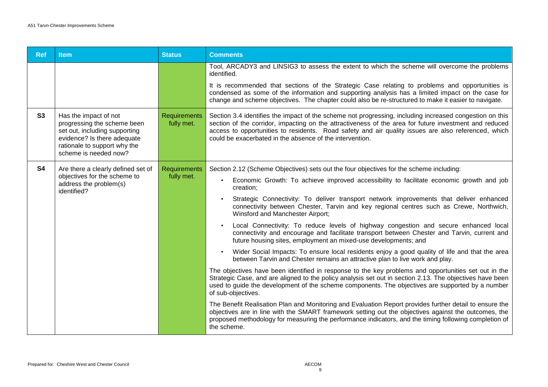| <b>Ref</b> | <b>Item</b>                                                                                                                                                                   | <b>Status</b>                     | <b>Comments</b>                                                                                                                                                                                                                                                                                                                                                                      |
|------------|-------------------------------------------------------------------------------------------------------------------------------------------------------------------------------|-----------------------------------|--------------------------------------------------------------------------------------------------------------------------------------------------------------------------------------------------------------------------------------------------------------------------------------------------------------------------------------------------------------------------------------|
|            |                                                                                                                                                                               |                                   | Tool, ARCADY3 and LINSIG3 to assess the extent to which the scheme will overcome the problems<br>identified.                                                                                                                                                                                                                                                                         |
|            |                                                                                                                                                                               |                                   | It is recommended that sections of the Strategic Case relating to problems and opportunities is<br>condensed as some of the information and supporting analysis has a limited impact on the case for<br>change and scheme objectives. The chapter could also be re-structured to make it easier to navigate.                                                                         |
| S3         | Has the impact of not<br>progressing the scheme been<br>set out, including supporting<br>evidence? Is there adequate<br>rationale to support why the<br>scheme is needed now? | <b>Requirements</b><br>fully met. | Section 3.4 identifies the impact of the scheme not progressing, including increased congestion on this<br>section of the corridor, impacting on the attractiveness of the area for future investment and reduced<br>access to opportunities to residents. Road safety and air quality issues are also referenced, which<br>could be exacerbated in the absence of the intervention. |
| <b>S4</b>  | Are there a clearly defined set of                                                                                                                                            | <b>Requirements</b><br>fully met. | Section 2.12 (Scheme Objectives) sets out the four objectives for the scheme including:                                                                                                                                                                                                                                                                                              |
|            | objectives for the scheme to<br>address the problem(s)<br>identified?                                                                                                         |                                   | Economic Growth: To achieve improved accessibility to facilitate economic growth and job<br>creation;                                                                                                                                                                                                                                                                                |
|            |                                                                                                                                                                               |                                   | Strategic Connectivity: To deliver transport network improvements that deliver enhanced<br>connectivity between Chester, Tarvin and key regional centres such as Crewe, Northwich,<br>Winsford and Manchester Airport;                                                                                                                                                               |
|            |                                                                                                                                                                               |                                   | Local Connectivity: To reduce levels of highway congestion and secure enhanced local<br>connectivity and encourage and facilitate transport between Chester and Tarvin, current and<br>future housing sites, employment an mixed-use developments; and                                                                                                                               |
|            |                                                                                                                                                                               |                                   | Wider Social Impacts: To ensure local residents enjoy a good quality of life and that the area<br>between Tarvin and Chester remains an attractive plan to live work and play.                                                                                                                                                                                                       |
|            |                                                                                                                                                                               |                                   | The objectives have been identified in response to the key problems and opportunities set out in the<br>Strategic Case, and are aligned to the policy analysis set out in section 2.13. The objectives have been<br>used to guide the development of the scheme components. The objectives are supported by a number<br>of sub-objectives.                                           |
|            |                                                                                                                                                                               |                                   | The Benefit Realisation Plan and Monitoring and Evaluation Report provides further detail to ensure the<br>objectives are in line with the SMART framework setting out the objectives against the outcomes, the<br>proposed methodology for measuring the performance indicators, and the timing following completion of<br>the scheme.                                              |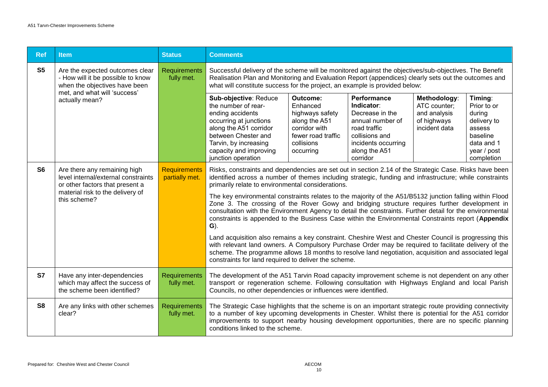| <b>Ref</b>                                                                                                              | <b>Item</b>                                                                                                                                                | <b>Status</b>                         | <b>Comments</b>                                                                                                                                                                                                                                                                                                                                                                                                                                                                                                                                                                                                                                                                                                                                                                                                                                                                                                                                                                                                                                                                                           |                                                                                                                            |                                                                                                                                                        |                                                                              |                                                                                                                  |
|-------------------------------------------------------------------------------------------------------------------------|------------------------------------------------------------------------------------------------------------------------------------------------------------|---------------------------------------|-----------------------------------------------------------------------------------------------------------------------------------------------------------------------------------------------------------------------------------------------------------------------------------------------------------------------------------------------------------------------------------------------------------------------------------------------------------------------------------------------------------------------------------------------------------------------------------------------------------------------------------------------------------------------------------------------------------------------------------------------------------------------------------------------------------------------------------------------------------------------------------------------------------------------------------------------------------------------------------------------------------------------------------------------------------------------------------------------------------|----------------------------------------------------------------------------------------------------------------------------|--------------------------------------------------------------------------------------------------------------------------------------------------------|------------------------------------------------------------------------------|------------------------------------------------------------------------------------------------------------------|
| S <sub>5</sub><br>Are the expected outcomes clear<br>- How will it be possible to know<br>when the objectives have been |                                                                                                                                                            | <b>Requirements</b><br>fully met.     | Successful delivery of the scheme will be monitored against the objectives/sub-objectives. The Benefit<br>Realisation Plan and Monitoring and Evaluation Report (appendices) clearly sets out the outcomes and<br>what will constitute success for the project, an example is provided below:                                                                                                                                                                                                                                                                                                                                                                                                                                                                                                                                                                                                                                                                                                                                                                                                             |                                                                                                                            |                                                                                                                                                        |                                                                              |                                                                                                                  |
|                                                                                                                         | met, and what will 'success'<br>actually mean?                                                                                                             |                                       | Sub-objective: Reduce<br>the number of rear-<br>ending accidents<br>occurring at junctions<br>along the A51 corridor<br>between Chester and<br>Tarvin, by increasing<br>capacity and improving<br>junction operation                                                                                                                                                                                                                                                                                                                                                                                                                                                                                                                                                                                                                                                                                                                                                                                                                                                                                      | Outcome:<br>Enhanced<br>highways safety<br>along the A51<br>corridor with<br>fewer road traffic<br>collisions<br>occurring | Performance<br>Indicator:<br>Decrease in the<br>annual number of<br>road traffic<br>collisions and<br>incidents occurring<br>along the A51<br>corridor | Methodology:<br>ATC counter;<br>and analysis<br>of highways<br>incident data | Timing:<br>Prior to or<br>during<br>delivery to<br>assess<br>baseline<br>data and 1<br>year / post<br>completion |
| S <sub>6</sub>                                                                                                          | Are there any remaining high<br>level internal/external constraints<br>or other factors that present a<br>material risk to the delivery of<br>this scheme? | <b>Requirements</b><br>partially met. | Risks, constraints and dependencies are set out in section 2.14 of the Strategic Case. Risks have been<br>identified across a number of themes including strategic, funding and infrastructure; while constraints<br>primarily relate to environmental considerations.<br>The key environmental constraints relates to the majority of the A51/B5132 junction falling within Flood<br>Zone 3. The crossing of the Rover Gowy and bridging structure requires further development in<br>consultation with the Environment Agency to detail the constraints. Further detail for the environmental<br>constraints is appended to the Business Case within the Environmental Constraints report (Appendix<br>$\mathbf{G}$ ).<br>Land acquisition also remains a key constraint. Cheshire West and Chester Council is progressing this<br>with relevant land owners. A Compulsory Purchase Order may be required to facilitate delivery of the<br>scheme. The programme allows 18 months to resolve land negotiation, acquisition and associated legal<br>constraints for land required to deliver the scheme. |                                                                                                                            |                                                                                                                                                        |                                                                              |                                                                                                                  |
| <b>S7</b>                                                                                                               | Have any inter-dependencies<br>which may affect the success of<br>the scheme been identified?                                                              | <b>Requirements</b><br>fully met.     | The development of the A51 Tarvin Road capacity improvement scheme is not dependent on any other<br>transport or regeneration scheme. Following consultation with Highways England and local Parish<br>Councils, no other dependencies or influences were identified.                                                                                                                                                                                                                                                                                                                                                                                                                                                                                                                                                                                                                                                                                                                                                                                                                                     |                                                                                                                            |                                                                                                                                                        |                                                                              |                                                                                                                  |
| S <sub>8</sub>                                                                                                          | Are any links with other schemes<br>clear?                                                                                                                 | <b>Requirements</b><br>fully met.     | The Strategic Case highlights that the scheme is on an important strategic route providing connectivity<br>to a number of key upcoming developments in Chester. Whilst there is potential for the A51 corridor<br>improvements to support nearby housing development opportunities, there are no specific planning<br>conditions linked to the scheme.                                                                                                                                                                                                                                                                                                                                                                                                                                                                                                                                                                                                                                                                                                                                                    |                                                                                                                            |                                                                                                                                                        |                                                                              |                                                                                                                  |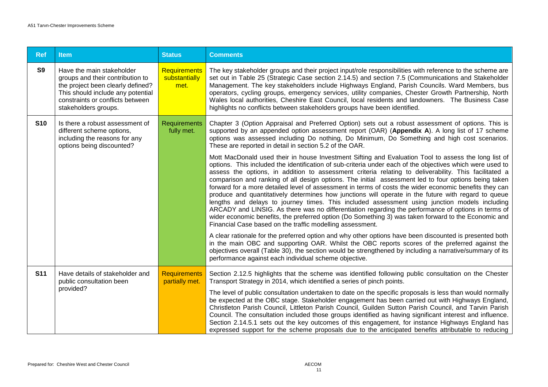| <b>Ref</b> | <b>Item</b>                                                                                                                                                                                         | <b>Status</b>                                | <b>Comments</b>                                                                                                                                                                                                                                                                                                                                                                                                                                                                                                                                                                                                                                                                                                                                                                                                                                                                                                                                                                                                                  |
|------------|-----------------------------------------------------------------------------------------------------------------------------------------------------------------------------------------------------|----------------------------------------------|----------------------------------------------------------------------------------------------------------------------------------------------------------------------------------------------------------------------------------------------------------------------------------------------------------------------------------------------------------------------------------------------------------------------------------------------------------------------------------------------------------------------------------------------------------------------------------------------------------------------------------------------------------------------------------------------------------------------------------------------------------------------------------------------------------------------------------------------------------------------------------------------------------------------------------------------------------------------------------------------------------------------------------|
| <b>S9</b>  | Have the main stakeholder<br>groups and their contribution to<br>the project been clearly defined?<br>This should include any potential<br>constraints or conflicts between<br>stakeholders groups. | <b>Requirements</b><br>substantially<br>met. | The key stakeholder groups and their project input/role responsibilities with reference to the scheme are<br>set out in Table 25 (Strategic Case section 2.14.5) and section 7.5 (Communications and Stakeholder<br>Management. The key stakeholders include Highways England, Parish Councils. Ward Members, bus<br>operators, cycling groups, emergency services, utility companies, Chester Growth Partnership, North<br>Wales local authorities, Cheshire East Council, local residents and landowners. The Business Case<br>highlights no conflicts between stakeholders groups have been identified.                                                                                                                                                                                                                                                                                                                                                                                                                       |
| <b>S10</b> | Is there a robust assessment of<br>different scheme options,<br>including the reasons for any<br>options being discounted?                                                                          | <b>Requirements</b><br>fully met.            | Chapter 3 (Option Appraisal and Preferred Option) sets out a robust assessment of options. This is<br>supported by an appended option assessment report (OAR) (Appendix A). A long list of 17 scheme<br>options was assessed including Do nothing, Do Minimum, Do Something and high cost scenarios.<br>These are reported in detail in section 5.2 of the OAR.                                                                                                                                                                                                                                                                                                                                                                                                                                                                                                                                                                                                                                                                  |
|            |                                                                                                                                                                                                     |                                              | Mott MacDonald used their in house Investment Sifting and Evaluation Tool to assess the long list of<br>options. This included the identification of sub-criteria under each of the objectives which were used to<br>assess the options, in addition to assessment criteria relating to deliverability. This facilitated a<br>comparison and ranking of all design options. The initial assessment led to four options being taken<br>forward for a more detailed level of assessment in terms of costs the wider economic benefits they can<br>produce and quantitatively determines how junctions will operate in the future with regard to queue<br>lengths and delays to journey times. This included assessment using junction models including<br>ARCADY and LINSIG. As there was no differentiation regarding the performance of options in terms of<br>wider economic benefits, the preferred option (Do Something 3) was taken forward to the Economic and<br>Financial Case based on the traffic modelling assessment. |
|            |                                                                                                                                                                                                     |                                              | A clear rationale for the preferred option and why other options have been discounted is presented both<br>in the main OBC and supporting OAR. Whilst the OBC reports scores of the preferred against the<br>objectives overall (Table 30), the section would be strengthened by including a narrative/summary of its<br>performance against each individual scheme objective.                                                                                                                                                                                                                                                                                                                                                                                                                                                                                                                                                                                                                                                   |
| <b>S11</b> | Have details of stakeholder and<br>public consultation been                                                                                                                                         | <b>Requirements</b><br>partially met.        | Section 2.12.5 highlights that the scheme was identified following public consultation on the Chester<br>Transport Strategy in 2014, which identified a series of pinch points.                                                                                                                                                                                                                                                                                                                                                                                                                                                                                                                                                                                                                                                                                                                                                                                                                                                  |
|            | provided?                                                                                                                                                                                           |                                              | The level of public consultation undertaken to date on the specific proposals is less than would normally<br>be expected at the OBC stage. Stakeholder engagement has been carried out with Highways England,<br>Christleton Parish Council, Littleton Parish Council, Guilden Sutton Parish Council, and Tarvin Parish<br>Council. The consultation included those groups identified as having significant interest and influence.<br>Section 2.14.5.1 sets out the key outcomes of this engagement, for instance Highways England has<br>expressed support for the scheme proposals due to the anticipated benefits attributable to reducing                                                                                                                                                                                                                                                                                                                                                                                   |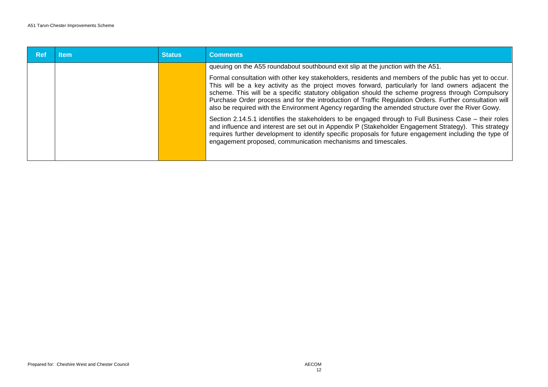| Ref | ltem | <b>Status</b> | <b>Comments</b>                                                                                                                                                                                                                                                                                                                                                                                                                                                                                                                     |
|-----|------|---------------|-------------------------------------------------------------------------------------------------------------------------------------------------------------------------------------------------------------------------------------------------------------------------------------------------------------------------------------------------------------------------------------------------------------------------------------------------------------------------------------------------------------------------------------|
|     |      |               | queuing on the A55 roundabout southbound exit slip at the junction with the A51.                                                                                                                                                                                                                                                                                                                                                                                                                                                    |
|     |      |               | Formal consultation with other key stakeholders, residents and members of the public has yet to occur.<br>This will be a key activity as the project moves forward, particularly for land owners adjacent the<br>scheme. This will be a specific statutory obligation should the scheme progress through Compulsory<br>Purchase Order process and for the introduction of Traffic Regulation Orders. Further consultation will<br>also be required with the Environment Agency regarding the amended structure over the River Gowy. |
|     |      |               | Section 2.14.5.1 identifies the stakeholders to be engaged through to Full Business Case – their roles<br>and influence and interest are set out in Appendix P (Stakeholder Engagement Strategy). This strategy<br>requires further development to identify specific proposals for future engagement including the type of<br>engagement proposed, communication mechanisms and timescales.                                                                                                                                         |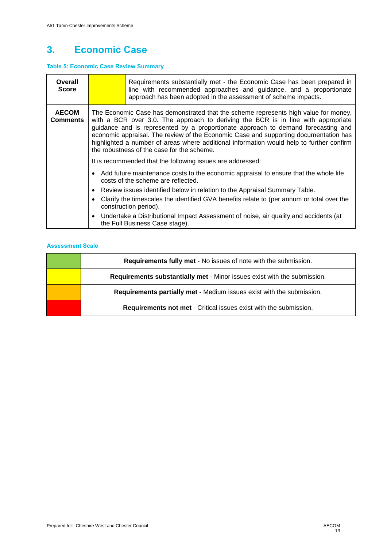### **3. Economic Case**

#### **Table 5: Economic Case Review Summary**

| Overall<br><b>Score</b>         |                                                                                                                                                                                                                                                                                                                                                                                                                                                                                                 | Requirements substantially met - the Economic Case has been prepared in<br>line with recommended approaches and guidance, and a proportionate<br>approach has been adopted in the assessment of scheme impacts. |  |  |  |  |  |
|---------------------------------|-------------------------------------------------------------------------------------------------------------------------------------------------------------------------------------------------------------------------------------------------------------------------------------------------------------------------------------------------------------------------------------------------------------------------------------------------------------------------------------------------|-----------------------------------------------------------------------------------------------------------------------------------------------------------------------------------------------------------------|--|--|--|--|--|
| <b>AECOM</b><br><b>Comments</b> | The Economic Case has demonstrated that the scheme represents high value for money,<br>with a BCR over 3.0. The approach to deriving the BCR is in line with appropriate<br>guidance and is represented by a proportionate approach to demand forecasting and<br>economic appraisal. The review of the Economic Case and supporting documentation has<br>highlighted a number of areas where additional information would help to further confirm<br>the robustness of the case for the scheme. |                                                                                                                                                                                                                 |  |  |  |  |  |
|                                 |                                                                                                                                                                                                                                                                                                                                                                                                                                                                                                 | It is recommended that the following issues are addressed:                                                                                                                                                      |  |  |  |  |  |
|                                 |                                                                                                                                                                                                                                                                                                                                                                                                                                                                                                 | • Add future maintenance costs to the economic appraisal to ensure that the whole life<br>costs of the scheme are reflected.                                                                                    |  |  |  |  |  |
|                                 | • Review issues identified below in relation to the Appraisal Summary Table.                                                                                                                                                                                                                                                                                                                                                                                                                    |                                                                                                                                                                                                                 |  |  |  |  |  |
|                                 | Clarify the timescales the identified GVA benefits relate to (per annum or total over the<br>construction period).                                                                                                                                                                                                                                                                                                                                                                              |                                                                                                                                                                                                                 |  |  |  |  |  |
|                                 | • Undertake a Distributional Impact Assessment of noise, air quality and accidents (at<br>the Full Business Case stage).                                                                                                                                                                                                                                                                                                                                                                        |                                                                                                                                                                                                                 |  |  |  |  |  |

| <b>Requirements fully met - No issues of note with the submission.</b>   |
|--------------------------------------------------------------------------|
| Requirements substantially met - Minor issues exist with the submission. |
| Requirements partially met - Medium issues exist with the submission.    |
| <b>Requirements not met - Critical issues exist with the submission.</b> |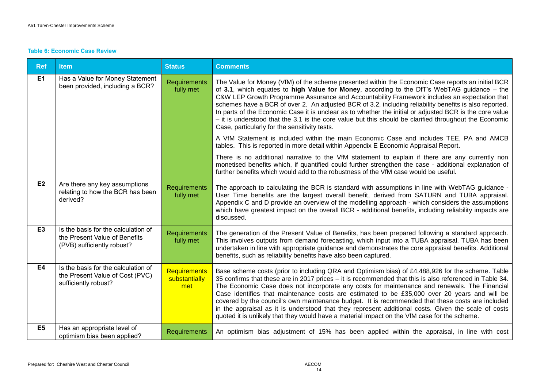#### **Table 6: Economic Case Review**

| <b>Ref</b>     | <b>Item</b>                                                                                        | <b>Status</b>                               | <b>Comments</b>                                                                                                                                                                                                                                                                                                                                                                                                                                                                                                                                                                                                                                                                                                        |
|----------------|----------------------------------------------------------------------------------------------------|---------------------------------------------|------------------------------------------------------------------------------------------------------------------------------------------------------------------------------------------------------------------------------------------------------------------------------------------------------------------------------------------------------------------------------------------------------------------------------------------------------------------------------------------------------------------------------------------------------------------------------------------------------------------------------------------------------------------------------------------------------------------------|
| E1             | Has a Value for Money Statement<br>been provided, including a BCR?                                 | <b>Requirements</b><br>fully met            | The Value for Money (VfM) of the scheme presented within the Economic Case reports an initial BCR<br>of 3.1, which equates to high Value for Money, according to the DfT's WebTAG guidance $-$ the<br>C&W LEP Growth Programme Assurance and Accountability Framework includes an expectation that<br>schemes have a BCR of over 2. An adjusted BCR of 3.2, including reliability benefits is also reported.<br>In parts of the Economic Case it is unclear as to whether the initial or adjusted BCR is the core value<br>$-$ it is understood that the 3.1 is the core value but this should be clarified throughout the Economic<br>Case, particularly for the sensitivity tests.                                   |
|                |                                                                                                    |                                             | A VfM Statement is included within the main Economic Case and includes TEE, PA and AMCB<br>tables. This is reported in more detail within Appendix E Economic Appraisal Report.                                                                                                                                                                                                                                                                                                                                                                                                                                                                                                                                        |
|                |                                                                                                    |                                             | There is no additional narrative to the VfM statement to explain if there are any currently non<br>monetised benefits which, if quantified could further strengthen the case - additional explanation of<br>further benefits which would add to the robustness of the VfM case would be useful.                                                                                                                                                                                                                                                                                                                                                                                                                        |
| E2             | Are there any key assumptions<br>relating to how the BCR has been<br>derived?                      | <b>Requirements</b><br>fully met            | The approach to calculating the BCR is standard with assumptions in line with WebTAG guidance -<br>User Time benefits are the largest overall benefit, derived from SATURN and TUBA appraisal.<br>Appendix C and D provide an overview of the modelling approach - which considers the assumptions<br>which have greatest impact on the overall BCR - additional benefits, including reliability impacts are<br>discussed.                                                                                                                                                                                                                                                                                             |
| E <sub>3</sub> | Is the basis for the calculation of<br>the Present Value of Benefits<br>(PVB) sufficiently robust? | <b>Requirements</b><br>fully met            | The generation of the Present Value of Benefits, has been prepared following a standard approach.<br>This involves outputs from demand forecasting, which input into a TUBA appraisal. TUBA has been<br>undertaken in line with appropriate guidance and demonstrates the core appraisal benefits. Additional<br>benefits, such as reliability benefits have also been captured.                                                                                                                                                                                                                                                                                                                                       |
| E4             | Is the basis for the calculation of<br>the Present Value of Cost (PVC)<br>sufficiently robust?     | <b>Requirements</b><br>substantially<br>met | Base scheme costs (prior to including QRA and Optimism bias) of £4,488,926 for the scheme. Table<br>35 confirms that these are in 2017 prices – it is recommended that this is also referenced in Table 34.<br>The Economic Case does not incorporate any costs for maintenance and renewals. The Financial<br>Case identifies that maintenance costs are estimated to be £35,000 over 20 years and will be<br>covered by the council's own maintenance budget. It is recommended that these costs are included<br>in the appraisal as it is understood that they represent additional costs. Given the scale of costs<br>quoted it is unlikely that they would have a material impact on the VfM case for the scheme. |
| E <sub>5</sub> | Has an appropriate level of<br>optimism bias been applied?                                         | <b>Requirements</b>                         | An optimism bias adjustment of 15% has been applied within the appraisal, in line with cost                                                                                                                                                                                                                                                                                                                                                                                                                                                                                                                                                                                                                            |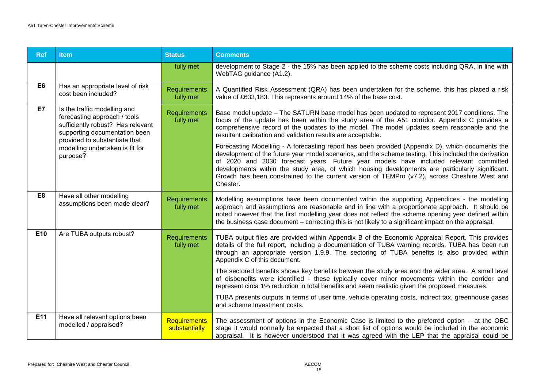| <b>Ref</b>     | <b>Item</b>                                                                                                                                                                                                        | <b>Status</b>                    | <b>Comments</b>                                                                                                                                                                                                                                                                                                                                                                                                                                                                                                                                                                                                                                                                                                                                                     |
|----------------|--------------------------------------------------------------------------------------------------------------------------------------------------------------------------------------------------------------------|----------------------------------|---------------------------------------------------------------------------------------------------------------------------------------------------------------------------------------------------------------------------------------------------------------------------------------------------------------------------------------------------------------------------------------------------------------------------------------------------------------------------------------------------------------------------------------------------------------------------------------------------------------------------------------------------------------------------------------------------------------------------------------------------------------------|
|                |                                                                                                                                                                                                                    | fully met                        | development to Stage 2 - the 15% has been applied to the scheme costs including QRA, in line with<br>WebTAG guidance (A1.2).                                                                                                                                                                                                                                                                                                                                                                                                                                                                                                                                                                                                                                        |
| E <sub>6</sub> | Has an appropriate level of risk<br>cost been included?                                                                                                                                                            | Requirements<br>fully met        | A Quantified Risk Assessment (QRA) has been undertaken for the scheme, this has placed a risk<br>value of £633,183. This represents around 14% of the base cost.                                                                                                                                                                                                                                                                                                                                                                                                                                                                                                                                                                                                    |
| E7             | Is the traffic modelling and<br>forecasting approach / tools<br>sufficiently robust? Has relevant<br>supporting documentation been<br>provided to substantiate that<br>modelling undertaken is fit for<br>purpose? | Requirements<br>fully met        | Base model update - The SATURN base model has been updated to represent 2017 conditions. The<br>focus of the update has been within the study area of the A51 corridor. Appendix C provides a<br>comprehensive record of the updates to the model. The model updates seem reasonable and the<br>resultant calibration and validation results are acceptable.<br>Forecasting Modelling - A forecasting report has been provided (Appendix D), which documents the<br>development of the future year model scenarios, and the scheme testing. This included the derivation<br>of 2020 and 2030 forecast years. Future year models have included relevant committed<br>developments within the study area, of which housing developments are particularly significant. |
|                |                                                                                                                                                                                                                    |                                  | Growth has been constrained to the current version of TEMPro (v7.2), across Cheshire West and<br>Chester.                                                                                                                                                                                                                                                                                                                                                                                                                                                                                                                                                                                                                                                           |
| E <sub>8</sub> | Have all other modelling<br>assumptions been made clear?                                                                                                                                                           | <b>Requirements</b><br>fully met | Modelling assumptions have been documented within the supporting Appendices - the modelling<br>approach and assumptions are reasonable and in line with a proportionate approach. It should be<br>noted however that the first modelling year does not reflect the scheme opening year defined within<br>the business case document - correcting this is not likely to a significant impact on the appraisal.                                                                                                                                                                                                                                                                                                                                                       |
| E10            | Are TUBA outputs robust?                                                                                                                                                                                           | Requirements<br>fully met        | TUBA output files are provided within Appendix B of the Economic Appraisal Report. This provides<br>details of the full report, including a documentation of TUBA warning records. TUBA has been run<br>through an appropriate version 1.9.9. The sectoring of TUBA benefits is also provided within<br>Appendix C of this document.                                                                                                                                                                                                                                                                                                                                                                                                                                |
|                |                                                                                                                                                                                                                    |                                  | The sectored benefits shows key benefits between the study area and the wider area. A small level<br>of disbenefits were identified - these typically cover minor movements within the corridor and<br>represent circa 1% reduction in total benefits and seem realistic given the proposed measures.                                                                                                                                                                                                                                                                                                                                                                                                                                                               |
|                |                                                                                                                                                                                                                    |                                  | TUBA presents outputs in terms of user time, vehicle operating costs, indirect tax, greenhouse gases<br>and scheme Investment costs.                                                                                                                                                                                                                                                                                                                                                                                                                                                                                                                                                                                                                                |
| E11            | Have all relevant options been<br>modelled / appraised?                                                                                                                                                            | Requirements<br>substantially    | The assessment of options in the Economic Case is limited to the preferred option $-$ at the OBC<br>stage it would normally be expected that a short list of options would be included in the economic<br>appraisal. It is however understood that it was agreed with the LEP that the appraisal could be                                                                                                                                                                                                                                                                                                                                                                                                                                                           |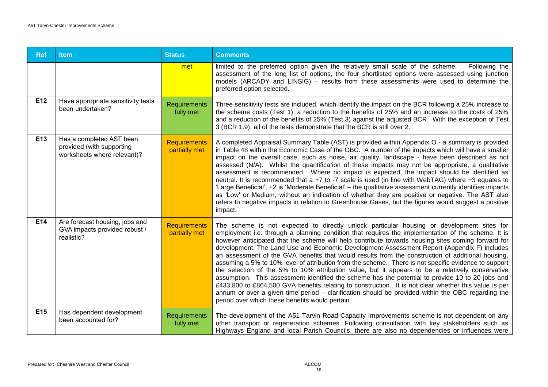| <b>Ref</b> | <b>Item</b>                                                                          | <b>Status</b>                        | <b>Comments</b>                                                                                                                                                                                                                                                                                                                                                                                                                                                                                                                                                                                                                                                                                                                                                                                                                                                                                                                                                                                                                                                                          |
|------------|--------------------------------------------------------------------------------------|--------------------------------------|------------------------------------------------------------------------------------------------------------------------------------------------------------------------------------------------------------------------------------------------------------------------------------------------------------------------------------------------------------------------------------------------------------------------------------------------------------------------------------------------------------------------------------------------------------------------------------------------------------------------------------------------------------------------------------------------------------------------------------------------------------------------------------------------------------------------------------------------------------------------------------------------------------------------------------------------------------------------------------------------------------------------------------------------------------------------------------------|
|            |                                                                                      | met                                  | limited to the preferred option given the relatively small scale of the scheme.<br>Following the<br>assessment of the long list of options, the four shortlisted options were assessed using junction<br>models (ARCADY and LINSIG) – results from these assessments were used to determine the<br>preferred option selected.                                                                                                                                                                                                                                                                                                                                                                                                                                                                                                                                                                                                                                                                                                                                                            |
| E12        | Have appropriate sensitivity tests<br>been undertaken?                               | <b>Requirements</b><br>fully met     | Three sensitivity tests are included, which identify the impact on the BCR following a 25% increase to<br>the scheme costs (Test 1), a reduction to the benefits of 25% and an increase to the costs of 25%<br>and a reduction of the benefits of 25% (Test 3) against the adjusted BCR. With the exception of Test<br>3 (BCR 1.9), all of the tests demonstrate that the BCR is still over 2.                                                                                                                                                                                                                                                                                                                                                                                                                                                                                                                                                                                                                                                                                           |
| E13        | Has a completed AST been<br>provided (with supporting<br>worksheets where relevant)? | <b>Requirements</b><br>partially met | A completed Appraisal Summary Table (AST) is provided within Appendix O - a summary is provided<br>in Table 48 within the Economic Case of the OBC. A number of the impacts which will have a smaller<br>impact on the overall case, such as noise, air quality, landscape - have been described as not<br>assessed (N/A). Whilst the quantification of these impacts may not be appropriate, a qualitative<br>assessment is recommended. Where no impact is expected, the impact should be identified as<br>neutral. It is recommended that a +7 to -7 scale is used (in line with WebTAG) where +3 equates to<br>'Large Beneficial', +2 is 'Moderate Beneficial' - the qualitative assessment currently identifies impacts<br>as 'Low' or Medium, without an indication of whether they are positive or negative. The AST also<br>refers to negative impacts in relation to Greenhouse Gases, but the figures would suggest a positive<br>impact.                                                                                                                                      |
| E14        | Are forecast housing, jobs and<br>GVA impacts provided robust /<br>realistic?        | <b>Requirements</b><br>partially met | The scheme is not expected to directly unlock particular housing or development sites for<br>employment i.e. through a planning condition that requires the implementation of the scheme. It is<br>however anticipated that the scheme will help contribute towards housing sites coming forward for<br>development. The Land Use and Economic Development Assessment Report (Appendix F) includes<br>an assessment of the GVA benefits that would results from the construction of additional housing,<br>assuming a 5% to 10% level of attribution from the scheme. There is not specific evidence to support<br>the selection of the 5% to 10% attribution value, but it appears to be a relatively conservative<br>assumption. This assessment identified the scheme has the potential to provide 10 to 20 jobs and<br>£433,800 to £864,500 GVA benefits relating to construction. It is not clear whether this value is per<br>annum or over a given time period – clarification should be provided within the OBC regarding the<br>period over which these benefits would pertain. |
| E15        | Has dependent development<br>been accounted for?                                     | <b>Requirements</b><br>fully met     | The development of the A51 Tarvin Road Capacity Improvements scheme is not dependent on any<br>other transport or regeneration schemes. Following consultation with key stakeholders such as<br>Highways England and local Parish Councils, there are also no dependencies or influences were                                                                                                                                                                                                                                                                                                                                                                                                                                                                                                                                                                                                                                                                                                                                                                                            |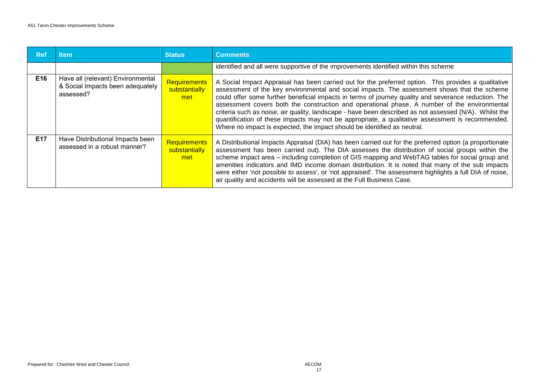| <b>Ref</b> | ltem                                                                               | <b>Status</b>                        | <b>Comments</b>                                                                                                                                                                                                                                                                                                                                                                                                                                                                                                                                                                                                                                                                                        |
|------------|------------------------------------------------------------------------------------|--------------------------------------|--------------------------------------------------------------------------------------------------------------------------------------------------------------------------------------------------------------------------------------------------------------------------------------------------------------------------------------------------------------------------------------------------------------------------------------------------------------------------------------------------------------------------------------------------------------------------------------------------------------------------------------------------------------------------------------------------------|
|            |                                                                                    |                                      | identified and all were supportive of the improvements identified within this scheme                                                                                                                                                                                                                                                                                                                                                                                                                                                                                                                                                                                                                   |
| E16        | Have all (relevant) Environmental<br>& Social Impacts been adequately<br>assessed? | Requirements<br>substantially<br>met | A Social Impact Appraisal has been carried out for the preferred option. This provides a qualitative<br>assessment of the key environmental and social impacts. The assessment shows that the scheme<br>could offer some further beneficial impacts in terms of journey quality and severance reduction. The<br>assessment covers both the construction and operational phase. A number of the environmental<br>criteria such as noise, air quality, landscape - have been described as not assessed (N/A). Whilst the<br>quantification of these impacts may not be appropriate, a qualitative assessment is recommended.<br>Where no impact is expected, the impact should be identified as neutral. |
| E17        | Have Distributional Impacts been<br>assessed in a robust manner?                   | Requirements<br>substantially<br>met | A Distributional Impacts Appraisal (DIA) has been carried out for the preferred option (a proportionate<br>assessment has been carried out). The DIA assesses the distribution of social groups within the<br>scheme impact area - including completion of GIS mapping and WebTAG tables for social group and<br>amenities indicators and IMD income domain distribution. It is noted that many of the sub impacts<br>were either 'not possible to assess', or 'not appraised'. The assessment highlights a full DIA of noise,<br>air quality and accidents will be assessed at the Full Business Case.                                                                                                |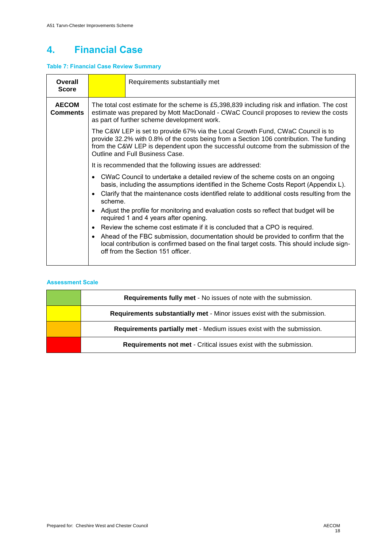### **4. Financial Case**

#### **Table 7: Financial Case Review Summary**

| Overall<br><b>Score</b>  |                                                                                                                                                                                                                                                                                   | Requirements substantially met                                                                                                                                                                                                                                                                        |  |  |  |
|--------------------------|-----------------------------------------------------------------------------------------------------------------------------------------------------------------------------------------------------------------------------------------------------------------------------------|-------------------------------------------------------------------------------------------------------------------------------------------------------------------------------------------------------------------------------------------------------------------------------------------------------|--|--|--|
| <b>AECOM</b><br>Comments | The total cost estimate for the scheme is £5,398,839 including risk and inflation. The cost<br>estimate was prepared by Mott MacDonald - CWaC Council proposes to review the costs<br>as part of further scheme development work.                                                 |                                                                                                                                                                                                                                                                                                       |  |  |  |
|                          |                                                                                                                                                                                                                                                                                   | The C&W LEP is set to provide 67% via the Local Growth Fund, CWaC Council is to<br>provide 32.2% with 0.8% of the costs being from a Section 106 contribution. The funding<br>from the C&W LEP is dependent upon the successful outcome from the submission of the<br>Outline and Full Business Case. |  |  |  |
|                          |                                                                                                                                                                                                                                                                                   | It is recommended that the following issues are addressed:                                                                                                                                                                                                                                            |  |  |  |
|                          | • CWaC Council to undertake a detailed review of the scheme costs on an ongoing<br>basis, including the assumptions identified in the Scheme Costs Report (Appendix L).<br>Clarify that the maintenance costs identified relate to additional costs resulting from the<br>scheme. |                                                                                                                                                                                                                                                                                                       |  |  |  |
|                          | • Adjust the profile for monitoring and evaluation costs so reflect that budget will be<br>required 1 and 4 years after opening.                                                                                                                                                  |                                                                                                                                                                                                                                                                                                       |  |  |  |
|                          | Review the scheme cost estimate if it is concluded that a CPO is required.<br>$\bullet$                                                                                                                                                                                           |                                                                                                                                                                                                                                                                                                       |  |  |  |
|                          | $\bullet$                                                                                                                                                                                                                                                                         | Ahead of the FBC submission, documentation should be provided to confirm that the<br>local contribution is confirmed based on the final target costs. This should include sign-<br>off from the Section 151 officer.                                                                                  |  |  |  |

| <b>Requirements fully met - No issues of note with the submission.</b>   |
|--------------------------------------------------------------------------|
| Requirements substantially met - Minor issues exist with the submission. |
| Requirements partially met - Medium issues exist with the submission.    |
| <b>Requirements not met - Critical issues exist with the submission.</b> |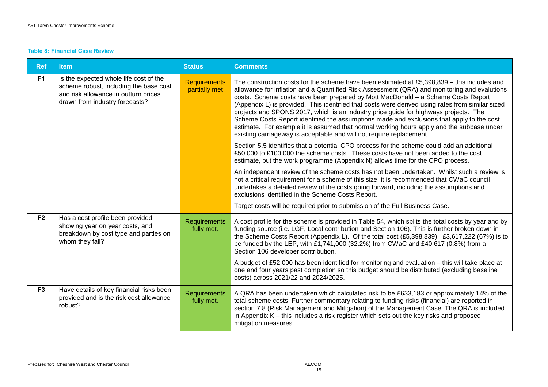#### **Table 8: Financial Case Review**

| <b>Ref</b>     | <b>Item</b>                                                                                                                                                | <b>Status</b>                        | <b>Comments</b>                                                                                                                                                                                                                                                                                                                                                                                                                                                                                                                                                                                                                                                                                                                               |
|----------------|------------------------------------------------------------------------------------------------------------------------------------------------------------|--------------------------------------|-----------------------------------------------------------------------------------------------------------------------------------------------------------------------------------------------------------------------------------------------------------------------------------------------------------------------------------------------------------------------------------------------------------------------------------------------------------------------------------------------------------------------------------------------------------------------------------------------------------------------------------------------------------------------------------------------------------------------------------------------|
| F <sub>1</sub> | Is the expected whole life cost of the<br>scheme robust, including the base cost<br>and risk allowance in outturn prices<br>drawn from industry forecasts? | <b>Requirements</b><br>partially met | The construction costs for the scheme have been estimated at £5,398,839 - this includes and<br>allowance for inflation and a Quantified Risk Assessment (QRA) and monitoring and evalutions<br>costs. Scheme costs have been prepared by Mott MacDonald - a Scheme Costs Report<br>(Appendix L) is provided. This identified that costs were derived using rates from similar sized<br>projects and SPONS 2017, which is an industry price guide for highways projects. The<br>Scheme Costs Report identified the assumptions made and exclusions that apply to the cost<br>estimate. For example it is assumed that normal working hours apply and the subbase under<br>existing carriageway is acceptable and will not require replacement. |
|                |                                                                                                                                                            |                                      | Section 5.5 identifies that a potential CPO process for the scheme could add an additional<br>£50,000 to £100,000 the scheme costs. These costs have not been added to the cost<br>estimate, but the work programme (Appendix N) allows time for the CPO process.                                                                                                                                                                                                                                                                                                                                                                                                                                                                             |
|                |                                                                                                                                                            |                                      | An independent review of the scheme costs has not been undertaken. Whilst such a review is<br>not a critical requirement for a scheme of this size, it is recommended that CWaC council<br>undertakes a detailed review of the costs going forward, including the assumptions and<br>exclusions identified in the Scheme Costs Report.                                                                                                                                                                                                                                                                                                                                                                                                        |
|                |                                                                                                                                                            |                                      | Target costs will be required prior to submission of the Full Business Case.                                                                                                                                                                                                                                                                                                                                                                                                                                                                                                                                                                                                                                                                  |
| F <sub>2</sub> | Has a cost profile been provided<br>showing year on year costs, and<br>breakdown by cost type and parties on<br>whom they fall?                            | <b>Requirements</b><br>fully met.    | A cost profile for the scheme is provided in Table 54, which splits the total costs by year and by<br>funding source (i.e. LGF, Local contribution and Section 106). This is further broken down in<br>the Scheme Costs Report (Appendix L). Of the total cost (£5,398,839), £3,617,222 (67%) is to<br>be funded by the LEP, with £1,741,000 (32.2%) from CWaC and £40,617 (0.8%) from a<br>Section 106 developer contribution.<br>A budget of £52,000 has been identified for monitoring and evaluation - this will take place at                                                                                                                                                                                                            |
|                |                                                                                                                                                            |                                      | one and four years past completion so this budget should be distributed (excluding baseline<br>costs) across 2021/22 and 2024/2025.                                                                                                                                                                                                                                                                                                                                                                                                                                                                                                                                                                                                           |
| F <sub>3</sub> | Have details of key financial risks been<br>provided and is the risk cost allowance<br>robust?                                                             | <b>Requirements</b><br>fully met.    | A QRA has been undertaken which calculated risk to be £633,183 or approximately 14% of the<br>total scheme costs. Further commentary relating to funding risks (financial) are reported in<br>section 7.8 (Risk Management and Mitigation) of the Management Case. The QRA is included<br>in Appendix $K$ – this includes a risk register which sets out the key risks and proposed<br>mitigation measures.                                                                                                                                                                                                                                                                                                                                   |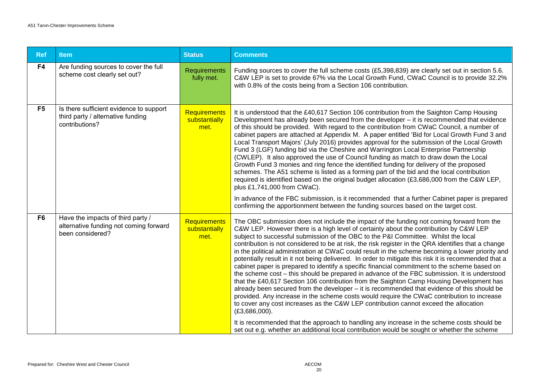| <b>Ref</b>     | <b>Item</b>                                                                                     | <b>Status</b>                                | <b>Comments</b>                                                                                                                                                                                                                                                                                                                                                                                                                                                                                                                                                                                                                                                                                                                                                                                                                                                                                                                                                                                                                                                                                                                                                                                                                                                                                                                                                                                |
|----------------|-------------------------------------------------------------------------------------------------|----------------------------------------------|------------------------------------------------------------------------------------------------------------------------------------------------------------------------------------------------------------------------------------------------------------------------------------------------------------------------------------------------------------------------------------------------------------------------------------------------------------------------------------------------------------------------------------------------------------------------------------------------------------------------------------------------------------------------------------------------------------------------------------------------------------------------------------------------------------------------------------------------------------------------------------------------------------------------------------------------------------------------------------------------------------------------------------------------------------------------------------------------------------------------------------------------------------------------------------------------------------------------------------------------------------------------------------------------------------------------------------------------------------------------------------------------|
| F4             | Are funding sources to cover the full<br>scheme cost clearly set out?                           | Requirements<br>fully met.                   | Funding sources to cover the full scheme costs (£5,398,839) are clearly set out in section 5.6.<br>C&W LEP is set to provide 67% via the Local Growth Fund, CWaC Council is to provide 32.2%<br>with 0.8% of the costs being from a Section 106 contribution.                                                                                                                                                                                                                                                                                                                                                                                                                                                                                                                                                                                                                                                                                                                                                                                                                                                                                                                                                                                                                                                                                                                                  |
| F <sub>5</sub> | Is there sufficient evidence to support<br>third party / alternative funding<br>contributions?  | <b>Requirements</b><br>substantially<br>met. | It is understood that the £40,617 Section 106 contribution from the Saighton Camp Housing<br>Development has already been secured from the developer - it is recommended that evidence<br>of this should be provided. With regard to the contribution from CWaC Council, a number of<br>cabinet papers are attached at Appendix M. A paper entitled 'Bid for Local Growth Fund 3 and<br>Local Transport Majors' (July 2016) provides approval for the submission of the Local Growth<br>Fund 3 (LGF) funding bid via the Cheshire and Warrington Local Enterprise Partnership<br>(CWLEP). It also approved the use of Council funding as match to draw down the Local<br>Growth Fund 3 monies and ring fence the identified funding for delivery of the proposed<br>schemes. The A51 scheme is listed as a forming part of the bid and the local contribution<br>required is identified based on the original budget allocation (£3,686,000 from the C&W LEP,<br>plus £1,741,000 from CWaC).<br>In advance of the FBC submission, is it recommended that a further Cabinet paper is prepared<br>confirming the apportionment between the funding sources based on the target cost.                                                                                                                                                                                                             |
| F <sub>6</sub> | Have the impacts of third party /<br>alternative funding not coming forward<br>been considered? | <b>Requirements</b><br>substantially<br>met. | The OBC submission does not include the impact of the funding not coming forward from the<br>C&W LEP. However there is a high level of certainty about the contribution by C&W LEP<br>subject to successful submission of the OBC to the P&I Committee. Whilst the local<br>contribution is not considered to be at risk, the risk register in the QRA identifies that a change<br>in the political administration at CWaC could result in the scheme becoming a lower priority and<br>potentially result in it not being delivered. In order to mitigate this risk it is recommended that a<br>cabinet paper is prepared to identify a specific financial commitment to the scheme based on<br>the scheme cost - this should be prepared in advance of the FBC submission. It is understood<br>that the £40,617 Section 106 contribution from the Saighton Camp Housing Development has<br>already been secured from the developer – it is recommended that evidence of this should be<br>provided. Any increase in the scheme costs would require the CWaC contribution to increase<br>to cover any cost increases as the C&W LEP contribution cannot exceed the allocation<br>$(E3,686,000)$ .<br>It is recommended that the approach to handling any increase in the scheme costs should be<br>set out e.g. whether an additional local contribution would be sought or whether the scheme |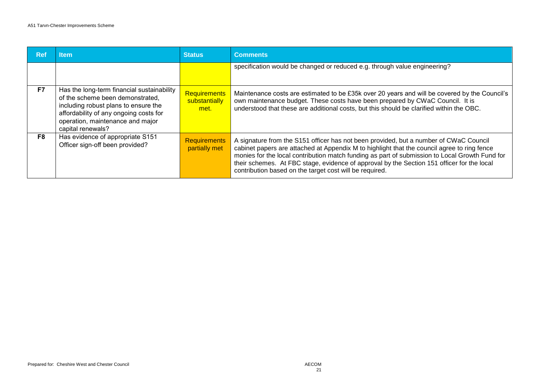| <b>Ref</b> | <b>Item</b>                                                                                                                                                                                                               | <b>Status</b>                                | <b>Comments</b>                                                                                                                                                                                                                                                                                                                                                                                                                                 |
|------------|---------------------------------------------------------------------------------------------------------------------------------------------------------------------------------------------------------------------------|----------------------------------------------|-------------------------------------------------------------------------------------------------------------------------------------------------------------------------------------------------------------------------------------------------------------------------------------------------------------------------------------------------------------------------------------------------------------------------------------------------|
|            |                                                                                                                                                                                                                           |                                              | specification would be changed or reduced e.g. through value engineering?                                                                                                                                                                                                                                                                                                                                                                       |
| F7         | Has the long-term financial sustainability<br>of the scheme been demonstrated,<br>including robust plans to ensure the<br>affordability of any ongoing costs for<br>operation, maintenance and major<br>capital renewals? | <b>Requirements</b><br>substantially<br>met. | Maintenance costs are estimated to be £35k over 20 years and will be covered by the Council's<br>own maintenance budget. These costs have been prepared by CWaC Council. It is<br>understood that these are additional costs, but this should be clarified within the OBC.                                                                                                                                                                      |
| F8         | Has evidence of appropriate S151<br>Officer sign-off been provided?                                                                                                                                                       | <b>Requirements</b><br>partially met         | A signature from the S151 officer has not been provided, but a number of CWaC Council<br>cabinet papers are attached at Appendix M to highlight that the council agree to ring fence<br>monies for the local contribution match funding as part of submission to Local Growth Fund for<br>their schemes. At FBC stage, evidence of approval by the Section 151 officer for the local<br>contribution based on the target cost will be required. |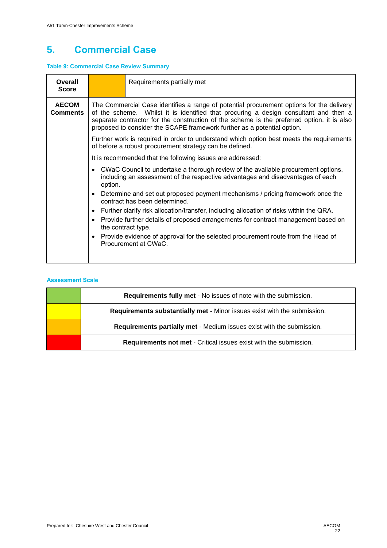### **5. Commercial Case**

#### **Table 9: Commercial Case Review Summary**

| <b>Overall</b><br><b>Score</b>  |                                                                                                                                                                                                                                                                                                                                                           | Requirements partially met                                                                                                                          |  |  |  |  |
|---------------------------------|-----------------------------------------------------------------------------------------------------------------------------------------------------------------------------------------------------------------------------------------------------------------------------------------------------------------------------------------------------------|-----------------------------------------------------------------------------------------------------------------------------------------------------|--|--|--|--|
| <b>AECOM</b><br><b>Comments</b> | The Commercial Case identifies a range of potential procurement options for the delivery<br>of the scheme. Whilst it is identified that procuring a design consultant and then a<br>separate contractor for the construction of the scheme is the preferred option, it is also<br>proposed to consider the SCAPE framework further as a potential option. |                                                                                                                                                     |  |  |  |  |
|                                 |                                                                                                                                                                                                                                                                                                                                                           | Further work is required in order to understand which option best meets the requirements<br>of before a robust procurement strategy can be defined. |  |  |  |  |
|                                 |                                                                                                                                                                                                                                                                                                                                                           | It is recommended that the following issues are addressed:                                                                                          |  |  |  |  |
|                                 | • CWaC Council to undertake a thorough review of the available procurement options,<br>including an assessment of the respective advantages and disadvantages of each<br>option.                                                                                                                                                                          |                                                                                                                                                     |  |  |  |  |
|                                 | • Determine and set out proposed payment mechanisms / pricing framework once the<br>contract has been determined                                                                                                                                                                                                                                          |                                                                                                                                                     |  |  |  |  |
|                                 |                                                                                                                                                                                                                                                                                                                                                           | • Further clarify risk allocation/transfer, including allocation of risks within the QRA.                                                           |  |  |  |  |
|                                 | • Provide further details of proposed arrangements for contract management based on<br>the contract type.                                                                                                                                                                                                                                                 |                                                                                                                                                     |  |  |  |  |
|                                 | Provide evidence of approval for the selected procurement route from the Head of<br>$\bullet$<br>Procurement at CWaC.                                                                                                                                                                                                                                     |                                                                                                                                                     |  |  |  |  |
|                                 |                                                                                                                                                                                                                                                                                                                                                           |                                                                                                                                                     |  |  |  |  |

| Requirements fully met - No issues of note with the submission.          |
|--------------------------------------------------------------------------|
| Requirements substantially met - Minor issues exist with the submission. |
| Requirements partially met - Medium issues exist with the submission.    |
| Requirements not met - Critical issues exist with the submission.        |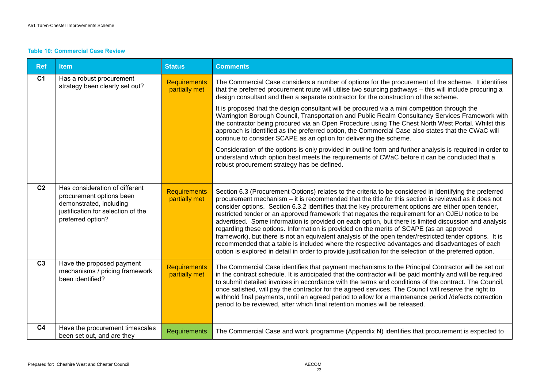#### **Table 10: Commercial Case Review**

| <b>Ref</b>     | <b>Item</b>                                                                                                                                      | <b>Status</b>                        | <b>Comments</b>                                                                                                                                                                                                                                                                                                                                                                                                                                                                                                                                                                                                                                                                                                                                                                                                                                                                                                                                                                                                                                           |
|----------------|--------------------------------------------------------------------------------------------------------------------------------------------------|--------------------------------------|-----------------------------------------------------------------------------------------------------------------------------------------------------------------------------------------------------------------------------------------------------------------------------------------------------------------------------------------------------------------------------------------------------------------------------------------------------------------------------------------------------------------------------------------------------------------------------------------------------------------------------------------------------------------------------------------------------------------------------------------------------------------------------------------------------------------------------------------------------------------------------------------------------------------------------------------------------------------------------------------------------------------------------------------------------------|
| C <sub>1</sub> | Has a robust procurement<br>strategy been clearly set out?                                                                                       | <b>Requirements</b><br>partially met | The Commercial Case considers a number of options for the procurement of the scheme. It identifies<br>that the preferred procurement route will utilise two sourcing pathways - this will include procuring a<br>design consultant and then a separate contractor for the construction of the scheme.<br>It is proposed that the design consultant will be procured via a mini competition through the<br>Warrington Borough Council, Transportation and Public Realm Consultancy Services Framework with<br>the contractor being procured via an Open Procedure using The Chest North West Portal. Whilst this<br>approach is identified as the preferred option, the Commercial Case also states that the CWaC will<br>continue to consider SCAPE as an option for delivering the scheme.<br>Consideration of the options is only provided in outline form and further analysis is required in order to<br>understand which option best meets the requirements of CWaC before it can be concluded that a<br>robust procurement strategy has be defined. |
| C <sub>2</sub> | Has consideration of different<br>procurement options been<br>demonstrated, including<br>justification for selection of the<br>preferred option? | <b>Requirements</b><br>partially met | Section 6.3 (Procurement Options) relates to the criteria to be considered in identifying the preferred<br>procurement mechanism – it is recommended that the title for this section is reviewed as it does not<br>consider options. Section 6.3.2 identifies that the key procurement options are either open tender,<br>restricted tender or an approved framework that negates the requirement for an OJEU notice to be<br>advertised. Some information is provided on each option, but there is limited discussion and analysis<br>regarding these options. Information is provided on the merits of SCAPE (as an approved<br>framework), but there is not an equivalent analysis of the open tender/restricted tender options. It is<br>recommended that a table is included where the respective advantages and disadvantages of each<br>option is explored in detail in order to provide justification for the selection of the preferred option.                                                                                                  |
| C <sub>3</sub> | Have the proposed payment<br>mechanisms / pricing framework<br>been identified?                                                                  | <b>Requirements</b><br>partially met | The Commercial Case identifies that payment mechanisms to the Principal Contractor will be set out<br>in the contract schedule. It is anticipated that the contractor will be paid monthly and will be required<br>to submit detailed invoices in accordance with the terms and conditions of the contract. The Council,<br>once satisfied, will pay the contractor for the agreed services. The Council will reserve the right to<br>withhold final payments, until an agreed period to allow for a maintenance period /defects correction<br>period to be reviewed, after which final retention monies will be released.                                                                                                                                                                                                                                                                                                                                                                                                                                |
| C <sub>4</sub> | Have the procurement timescales<br>been set out, and are they                                                                                    | <b>Requirements</b>                  | The Commercial Case and work programme (Appendix N) identifies that procurement is expected to                                                                                                                                                                                                                                                                                                                                                                                                                                                                                                                                                                                                                                                                                                                                                                                                                                                                                                                                                            |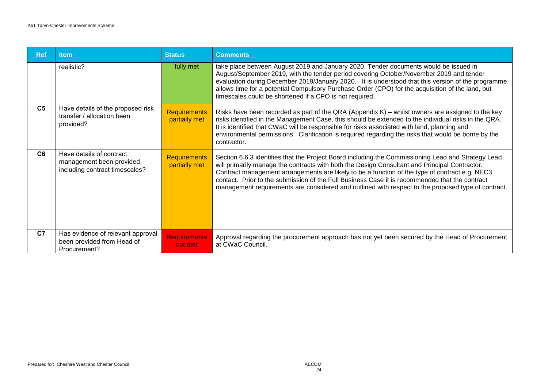| <b>Ref</b>     | <b>Item</b>                                                                             | <b>Status</b>                        | <b>Comments</b>                                                                                                                                                                                                                                                                                                                                                                                                                                                                                               |
|----------------|-----------------------------------------------------------------------------------------|--------------------------------------|---------------------------------------------------------------------------------------------------------------------------------------------------------------------------------------------------------------------------------------------------------------------------------------------------------------------------------------------------------------------------------------------------------------------------------------------------------------------------------------------------------------|
|                | realistic?                                                                              | fully met                            | take place between August 2019 and January 2020. Tender documents would be issued in<br>August/September 2019, with the tender period covering October/November 2019 and tender<br>evaluation during December 2019/January 2020. It is understood that this version of the programme<br>allows time for a potential Compulsory Purchase Order (CPO) for the acquisition of the land, but<br>timescales could be shortened if a CPO is not required.                                                           |
| C <sub>5</sub> | Have details of the proposed risk<br>transfer / allocation been<br>provided?            | <b>Requirements</b><br>partially met | Risks have been recorded as part of the QRA (Appendix K) – whilst owners are assigned to the key<br>risks identified in the Management Case, this should be extended to the individual risks in the QRA.<br>It is identified that CWaC will be responsible for risks associated with land, planning and<br>environmental permissions. Clarification is required regarding the risks that would be borne by the<br>contractor.                                                                                 |
| C <sub>6</sub> | Have details of contract<br>management been provided,<br>including contract timescales? | <b>Requirements</b><br>partially met | Section 6.6.3 identifies that the Project Board including the Commissioning Lead and Strategy Lead<br>will primarily manage the contracts with both the Design Consultant and Principal Contractor.<br>Contract management arrangements are likely to be a function of the type of contract e.g. NEC3<br>contact. Prior to the submission of the Full Business Case it is recommended that the contract<br>management requirements are considered and outlined with respect to the proposed type of contract. |
| C <sub>7</sub> | Has evidence of relevant approval<br>been provided from Head of<br>Procurement?         | <b>Requirements</b><br>not met       | Approval regarding the procurement approach has not yet been secured by the Head of Procurement<br>at CWaC Council.                                                                                                                                                                                                                                                                                                                                                                                           |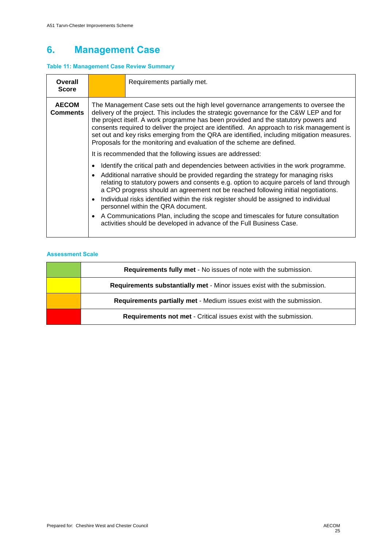### **6. Management Case**

#### **Table 11: Management Case Review Summary**

| Overall<br><b>Score</b>  | Requirements partially met.                                                                                                                                                                                                                                                                                                                                                                                                                                                                                                                                                                                                                                                                                                                                                                                                                                                                                                                                                                                                                                                                                                                                                                                                                                                                                |
|--------------------------|------------------------------------------------------------------------------------------------------------------------------------------------------------------------------------------------------------------------------------------------------------------------------------------------------------------------------------------------------------------------------------------------------------------------------------------------------------------------------------------------------------------------------------------------------------------------------------------------------------------------------------------------------------------------------------------------------------------------------------------------------------------------------------------------------------------------------------------------------------------------------------------------------------------------------------------------------------------------------------------------------------------------------------------------------------------------------------------------------------------------------------------------------------------------------------------------------------------------------------------------------------------------------------------------------------|
| <b>AECOM</b><br>Comments | The Management Case sets out the high level governance arrangements to oversee the<br>delivery of the project. This includes the strategic governance for the C&W LEP and for<br>the project itself. A work programme has been provided and the statutory powers and<br>consents required to deliver the project are identified. An approach to risk management is<br>set out and key risks emerging from the QRA are identified, including mitigation measures.<br>Proposals for the monitoring and evaluation of the scheme are defined.<br>It is recommended that the following issues are addressed:<br>Identify the critical path and dependencies between activities in the work programme.<br>Additional narrative should be provided regarding the strategy for managing risks<br>$\bullet$<br>relating to statutory powers and consents e.g. option to acquire parcels of land through<br>a CPO progress should an agreement not be reached following initial negotiations.<br>Individual risks identified within the risk register should be assigned to individual<br>$\bullet$<br>personnel within the QRA document.<br>A Communications Plan, including the scope and timescales for future consultation<br>$\bullet$<br>activities should be developed in advance of the Full Business Case. |

| <b>Requirements fully met - No issues of note with the submission.</b>   |
|--------------------------------------------------------------------------|
| Requirements substantially met - Minor issues exist with the submission. |
| Requirements partially met - Medium issues exist with the submission.    |
| Requirements not met - Critical issues exist with the submission.        |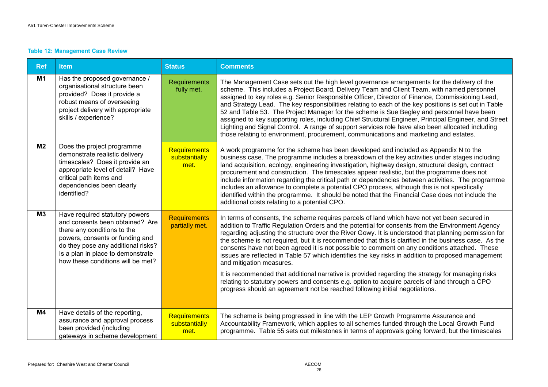#### **Table 12: Management Case Review**

| <b>Ref</b>     | <b>Item</b>                                                                                                                                                                                                                                         | <b>Status</b>                         | <b>Comments</b>                                                                                                                                                                                                                                                                                                                                                                                                                                                                                                                                                                                                                                                                                                                                                                                          |
|----------------|-----------------------------------------------------------------------------------------------------------------------------------------------------------------------------------------------------------------------------------------------------|---------------------------------------|----------------------------------------------------------------------------------------------------------------------------------------------------------------------------------------------------------------------------------------------------------------------------------------------------------------------------------------------------------------------------------------------------------------------------------------------------------------------------------------------------------------------------------------------------------------------------------------------------------------------------------------------------------------------------------------------------------------------------------------------------------------------------------------------------------|
| <b>M1</b>      | Has the proposed governance /<br>organisational structure been<br>provided? Does it provide a<br>robust means of overseeing<br>project delivery with appropriate<br>skills / experience?                                                            | <b>Requirements</b><br>fully met.     | The Management Case sets out the high level governance arrangements for the delivery of the<br>scheme. This includes a Project Board, Delivery Team and Client Team, with named personnel<br>assigned to key roles e.g. Senior Responsible Officer, Director of Finance, Commissioning Lead,<br>and Strategy Lead. The key responsibilities relating to each of the key positions is set out in Table<br>52 and Table 53. The Project Manager for the scheme is Sue Begley and personnel have been<br>assigned to key supporting roles, including Chief Structural Engineer, Principal Engineer, and Street<br>Lighting and Signal Control. A range of support services role have also been allocated including<br>those relating to environment, procurement, communications and marketing and estates. |
| M <sub>2</sub> | Does the project programme<br>demonstrate realistic delivery<br>timescales? Does it provide an<br>appropriate level of detail? Have<br>critical path items and<br>dependencies been clearly<br>identified?                                          | Requirements<br>substantially<br>met. | A work programme for the scheme has been developed and included as Appendix N to the<br>business case. The programme includes a breakdown of the key activities under stages including<br>land acquisition, ecology, engineering investigation, highway design, structural design, contract<br>procurement and construction. The timescales appear realistic, but the programme does not<br>include information regarding the critical path or dependencies between activities. The programme<br>includes an allowance to complete a potential CPO process, although this is not specifically<br>identified within the programme. It should be noted that the Financial Case does not include the<br>additional costs relating to a potential CPO.                                                       |
| M3             | Have required statutory powers<br>and consents been obtained? Are<br>there any conditions to the<br>powers, consents or funding and<br>do they pose any additional risks?<br>Is a plan in place to demonstrate<br>how these conditions will be met? | <b>Requirements</b><br>partially met. | In terms of consents, the scheme requires parcels of land which have not yet been secured in<br>addition to Traffic Regulation Orders and the potential for consents from the Environment Agency<br>regarding adjusting the structure over the River Gowy. It is understood that planning permission for<br>the scheme is not required, but it is recommended that this is clarified in the business case. As the<br>consents have not been agreed it is not possible to comment on any conditions attached. These<br>issues are reflected in Table 57 which identifies the key risks in addition to proposed management<br>and mitigation measures.                                                                                                                                                     |
|                |                                                                                                                                                                                                                                                     |                                       | It is recommended that additional narrative is provided regarding the strategy for managing risks<br>relating to statutory powers and consents e.g. option to acquire parcels of land through a CPO<br>progress should an agreement not be reached following initial negotiations.                                                                                                                                                                                                                                                                                                                                                                                                                                                                                                                       |
| M <sub>4</sub> | Have details of the reporting,<br>assurance and approval process<br>been provided (including<br>gateways in scheme development                                                                                                                      | Requirements<br>substantially<br>met. | The scheme is being progressed in line with the LEP Growth Programme Assurance and<br>Accountability Framework, which applies to all schemes funded through the Local Growth Fund<br>programme. Table 55 sets out milestones in terms of approvals going forward, but the timescales                                                                                                                                                                                                                                                                                                                                                                                                                                                                                                                     |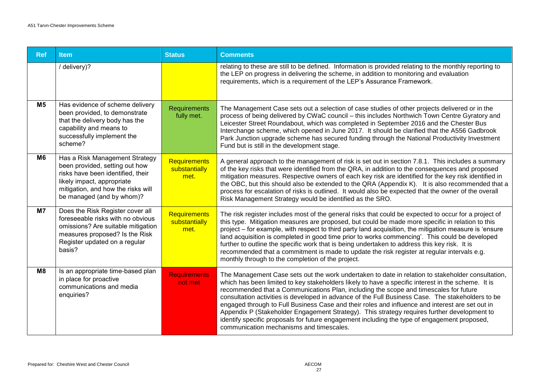| <b>Ref</b>     | <b>Item</b>                                                                                                                                                                                            | <b>Status</b>                                | <b>Comments</b>                                                                                                                                                                                                                                                                                                                                                                                                                                                                                                                                                                                                                                                                                                                                     |
|----------------|--------------------------------------------------------------------------------------------------------------------------------------------------------------------------------------------------------|----------------------------------------------|-----------------------------------------------------------------------------------------------------------------------------------------------------------------------------------------------------------------------------------------------------------------------------------------------------------------------------------------------------------------------------------------------------------------------------------------------------------------------------------------------------------------------------------------------------------------------------------------------------------------------------------------------------------------------------------------------------------------------------------------------------|
|                | / delivery)?                                                                                                                                                                                           |                                              | relating to these are still to be defined. Information is provided relating to the monthly reporting to<br>the LEP on progress in delivering the scheme, in addition to monitoring and evaluation<br>requirements, which is a requirement of the LEP's Assurance Framework.                                                                                                                                                                                                                                                                                                                                                                                                                                                                         |
| M <sub>5</sub> | Has evidence of scheme delivery<br>been provided, to demonstrate<br>that the delivery body has the<br>capability and means to<br>successfully implement the<br>scheme?                                 | <b>Requirements</b><br>fully met.            | The Management Case sets out a selection of case studies of other projects delivered or in the<br>process of being delivered by CWaC council - this includes Northwich Town Centre Gyratory and<br>Leicester Street Roundabout, which was completed in September 2016 and the Chester Bus<br>Interchange scheme, which opened in June 2017. It should be clarified that the A556 Gadbrook<br>Park Junction upgrade scheme has secured funding through the National Productivity Investment<br>Fund but is still in the development stage.                                                                                                                                                                                                           |
| M <sub>6</sub> | Has a Risk Management Strategy<br>been provided, setting out how<br>risks have been identified, their<br>likely impact, appropriate<br>mitigation, and how the risks will<br>be managed (and by whom)? | <b>Requirements</b><br>substantially<br>met. | A general approach to the management of risk is set out in section 7.8.1. This includes a summary<br>of the key risks that were identified from the QRA, in addition to the consequences and proposed<br>mitigation measures. Respective owners of each key risk are identified for the key risk identified in<br>the OBC, but this should also be extended to the QRA (Appendix K). It is also recommended that a<br>process for escalation of risks is outlined. It would also be expected that the owner of the overall<br>Risk Management Strategy would be identified as the SRO.                                                                                                                                                              |
| M7             | Does the Risk Register cover all<br>foreseeable risks with no obvious<br>omissions? Are suitable mitigation<br>measures proposed? Is the Risk<br>Register updated on a regular<br>basis?               | <b>Requirements</b><br>substantially<br>met. | The risk register includes most of the general risks that could be expected to occur for a project of<br>this type. Mitigation measures are proposed, but could be made more specific in relation to this<br>project – for example, with respect to third party land acquisition, the mitigation measure is 'ensure<br>land acquisition is completed in good time prior to works commencing'. This could be developed<br>further to outline the specific work that is being undertaken to address this key risk. It is<br>recommended that a commitment is made to update the risk register at regular intervals e.g.<br>monthly through to the completion of the project.                                                                          |
| M8             | Is an appropriate time-based plan<br>in place for proactive<br>communications and media<br>enquiries?                                                                                                  | <b>Requirements</b><br>not met               | The Management Case sets out the work undertaken to date in relation to stakeholder consultation,<br>which has been limited to key stakeholders likely to have a specific interest in the scheme. It is<br>recommended that a Communications Plan, including the scope and timescales for future<br>consultation activities is developed in advance of the Full Business Case. The stakeholders to be<br>engaged through to Full Business Case and their roles and influence and interest are set out in<br>Appendix P (Stakeholder Engagement Strategy). This strategy requires further development to<br>identify specific proposals for future engagement including the type of engagement proposed,<br>communication mechanisms and timescales. |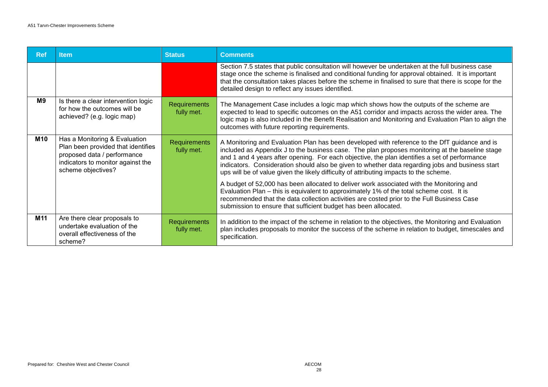| <b>Ref</b> | <b>Item</b>                                                                                                                                                   | <b>Status</b>                     | <b>Comments</b>                                                                                                                                                                                                                                                                                                                                                                                                                                                                                 |
|------------|---------------------------------------------------------------------------------------------------------------------------------------------------------------|-----------------------------------|-------------------------------------------------------------------------------------------------------------------------------------------------------------------------------------------------------------------------------------------------------------------------------------------------------------------------------------------------------------------------------------------------------------------------------------------------------------------------------------------------|
|            |                                                                                                                                                               |                                   | Section 7.5 states that public consultation will however be undertaken at the full business case<br>stage once the scheme is finalised and conditional funding for approval obtained. It is important<br>that the consultation takes places before the scheme in finalised to sure that there is scope for the<br>detailed design to reflect any issues identified.                                                                                                                             |
| M9         | Is there a clear intervention logic<br>for how the outcomes will be<br>achieved? (e.g. logic map)                                                             | <b>Requirements</b><br>fully met. | The Management Case includes a logic map which shows how the outputs of the scheme are<br>expected to lead to specific outcomes on the A51 corridor and impacts across the wider area. The<br>logic map is also included in the Benefit Realisation and Monitoring and Evaluation Plan to align the<br>outcomes with future reporting requirements.                                                                                                                                             |
| M10        | Has a Monitoring & Evaluation<br>Plan been provided that identifies<br>proposed data / performance<br>indicators to monitor against the<br>scheme objectives? | <b>Requirements</b><br>fully met. | A Monitoring and Evaluation Plan has been developed with reference to the DfT guidance and is<br>included as Appendix J to the business case. The plan proposes monitoring at the baseline stage<br>and 1 and 4 years after opening. For each objective, the plan identifies a set of performance<br>indicators. Consideration should also be given to whether data regarding jobs and business start<br>ups will be of value given the likely difficulty of attributing impacts to the scheme. |
|            |                                                                                                                                                               |                                   | A budget of 52,000 has been allocated to deliver work associated with the Monitoring and<br>Evaluation Plan – this is equivalent to approximately 1% of the total scheme cost. It is<br>recommended that the data collection activities are costed prior to the Full Business Case<br>submission to ensure that sufficient budget has been allocated.                                                                                                                                           |
| M11        | Are there clear proposals to<br>undertake evaluation of the<br>overall effectiveness of the<br>scheme?                                                        | <b>Requirements</b><br>fully met. | In addition to the impact of the scheme in relation to the objectives, the Monitoring and Evaluation<br>plan includes proposals to monitor the success of the scheme in relation to budget, timescales and<br>specification.                                                                                                                                                                                                                                                                    |